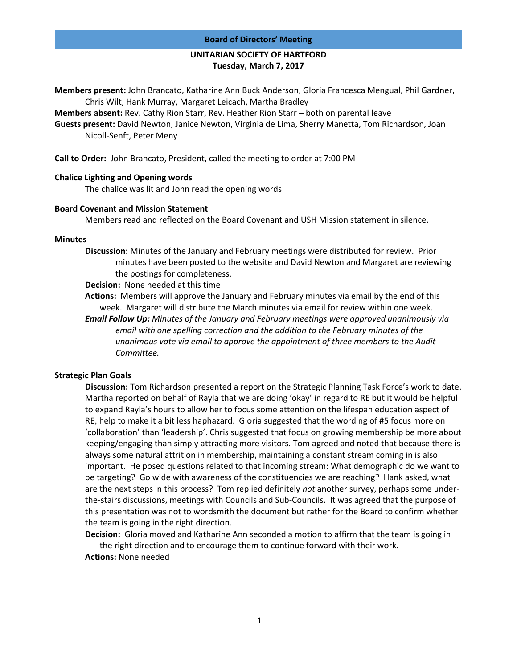#### **Board of Directors' Meeting**

# **UNITARIAN SOCIETY OF HARTFORD Tuesday, March 7, 2017**

**Members present:** John Brancato, Katharine Ann Buck Anderson, Gloria Francesca Mengual, Phil Gardner, Chris Wilt, Hank Murray, Margaret Leicach, Martha Bradley

**Members absent:** Rev. Cathy Rion Starr, Rev. Heather Rion Starr – both on parental leave

**Guests present:** David Newton, Janice Newton, Virginia de Lima, Sherry Manetta, Tom Richardson, Joan Nicoll-Senft, Peter Meny

**Call to Order:** John Brancato, President, called the meeting to order at 7:00 PM

#### **Chalice Lighting and Opening words**

The chalice was lit and John read the opening words

### **Board Covenant and Mission Statement**

Members read and reflected on the Board Covenant and USH Mission statement in silence.

#### **Minutes**

**Discussion:** Minutes of the January and February meetings were distributed for review. Prior minutes have been posted to the website and David Newton and Margaret are reviewing the postings for completeness.

**Decision:** None needed at this time

**Actions:** Members will approve the January and February minutes via email by the end of this week. Margaret will distribute the March minutes via email for review within one week.

*Email Follow Up: Minutes of the January and February meetings were approved unanimously via email with one spelling correction and the addition to the February minutes of the unanimous vote via email to approve the appointment of three members to the Audit Committee.* 

#### **Strategic Plan Goals**

**Discussion:** Tom Richardson presented a report on the Strategic Planning Task Force's work to date. Martha reported on behalf of Rayla that we are doing 'okay' in regard to RE but it would be helpful to expand Rayla's hours to allow her to focus some attention on the lifespan education aspect of RE, help to make it a bit less haphazard. Gloria suggested that the wording of #5 focus more on 'collaboration' than 'leadership'. Chris suggested that focus on growing membership be more about keeping/engaging than simply attracting more visitors. Tom agreed and noted that because there is always some natural attrition in membership, maintaining a constant stream coming in is also important. He posed questions related to that incoming stream: What demographic do we want to be targeting? Go wide with awareness of the constituencies we are reaching? Hank asked, what are the next steps in this process? Tom replied definitely *not* another survey, perhaps some underthe-stairs discussions, meetings with Councils and Sub-Councils. It was agreed that the purpose of this presentation was not to wordsmith the document but rather for the Board to confirm whether the team is going in the right direction.

**Decision:** Gloria moved and Katharine Ann seconded a motion to affirm that the team is going in the right direction and to encourage them to continue forward with their work.

**Actions:** None needed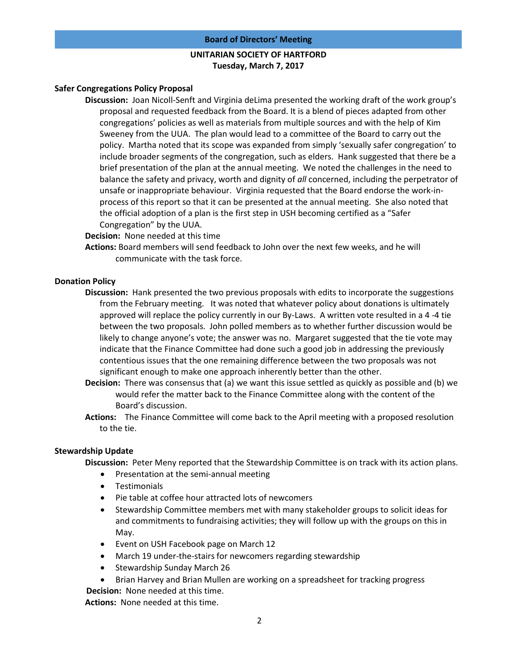### **Board of Directors' Meeting**

# **UNITARIAN SOCIETY OF HARTFORD Tuesday, March 7, 2017**

# **Safer Congregations Policy Proposal**

**Discussion:** Joan Nicoll-Senft and Virginia deLima presented the working draft of the work group's proposal and requested feedback from the Board. It is a blend of pieces adapted from other congregations' policies as well as materials from multiple sources and with the help of Kim Sweeney from the UUA. The plan would lead to a committee of the Board to carry out the policy. Martha noted that its scope was expanded from simply 'sexually safer congregation' to include broader segments of the congregation, such as elders. Hank suggested that there be a brief presentation of the plan at the annual meeting. We noted the challenges in the need to balance the safety and privacy, worth and dignity of *all* concerned, including the perpetrator of unsafe or inappropriate behaviour. Virginia requested that the Board endorse the work-inprocess of this report so that it can be presented at the annual meeting. She also noted that the official adoption of a plan is the first step in USH becoming certified as a "Safer Congregation" by the UUA.

**Decision:** None needed at this time

**Actions:** Board members will send feedback to John over the next few weeks, and he will communicate with the task force.

# **Donation Policy**

- **Discussion:** Hank presented the two previous proposals with edits to incorporate the suggestions from the February meeting. It was noted that whatever policy about donations is ultimately approved will replace the policy currently in our By-Laws. A written vote resulted in a 4 -4 tie between the two proposals. John polled members as to whether further discussion would be likely to change anyone's vote; the answer was no. Margaret suggested that the tie vote may indicate that the Finance Committee had done such a good job in addressing the previously contentious issues that the one remaining difference between the two proposals was not significant enough to make one approach inherently better than the other.
- **Decision:** There was consensus that (a) we want this issue settled as quickly as possible and (b) we would refer the matter back to the Finance Committee along with the content of the Board's discussion.
- **Actions:** The Finance Committee will come back to the April meeting with a proposed resolution to the tie.

# **Stewardship Update**

**Discussion:** Peter Meny reported that the Stewardship Committee is on track with its action plans.

- Presentation at the semi-annual meeting
- Testimonials
- Pie table at coffee hour attracted lots of newcomers
- Stewardship Committee members met with many stakeholder groups to solicit ideas for and commitments to fundraising activities; they will follow up with the groups on this in May.
- Event on USH Facebook page on March 12
- March 19 under-the-stairs for newcomers regarding stewardship
- Stewardship Sunday March 26
- Brian Harvey and Brian Mullen are working on a spreadsheet for tracking progress

**Decision:** None needed at this time.

**Actions:** None needed at this time.